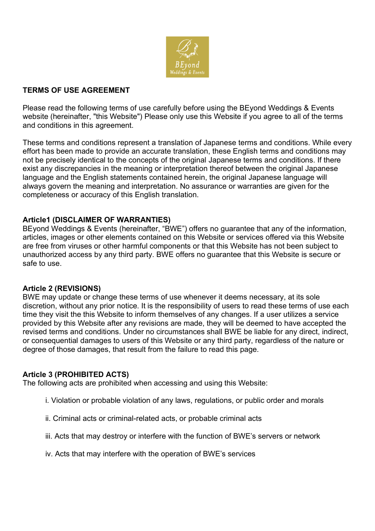

# **TERMS OF USE AGREEMENT**

Please read the following terms of use carefully before using the BEyond Weddings & Events website (hereinafter, "this Website") Please only use this Website if you agree to all of the terms and conditions in this agreement.

These terms and conditions represent a translation of Japanese terms and conditions. While every effort has been made to provide an accurate translation, these English terms and conditions may not be precisely identical to the concepts of the original Japanese terms and conditions. If there exist any discrepancies in the meaning or interpretation thereof between the original Japanese language and the English statements contained herein, the original Japanese language will always govern the meaning and interpretation. No assurance or warranties are given for the completeness or accuracy of this English translation.

# **Article1 (DISCLAIMER OF WARRANTIES)**

BEyond Weddings & Events (hereinafter, "BWE") offers no guarantee that any of the information, articles, images or other elements contained on this Website or services offered via this Website are free from viruses or other harmful components or that this Website has not been subject to unauthorized access by any third party. BWE offers no guarantee that this Website is secure or safe to use.

# **Article 2 (REVISIONS)**

BWE may update or change these terms of use whenever it deems necessary, at its sole discretion, without any prior notice. It is the responsibility of users to read these terms of use each time they visit the this Website to inform themselves of any changes. If a user utilizes a service provided by this Website after any revisions are made, they will be deemed to have accepted the revised terms and conditions. Under no circumstances shall BWE be liable for any direct, indirect, or consequential damages to users of this Website or any third party, regardless of the nature or degree of those damages, that result from the failure to read this page.

# **Article 3 (PROHIBITED ACTS)**

The following acts are prohibited when accessing and using this Website:

- i. Violation or probable violation of any laws, regulations, or public order and morals
- ii. Criminal acts or criminal-related acts, or probable criminal acts
- iii. Acts that may destroy or interfere with the function of BWE's servers or network
- iv. Acts that may interfere with the operation of BWE's services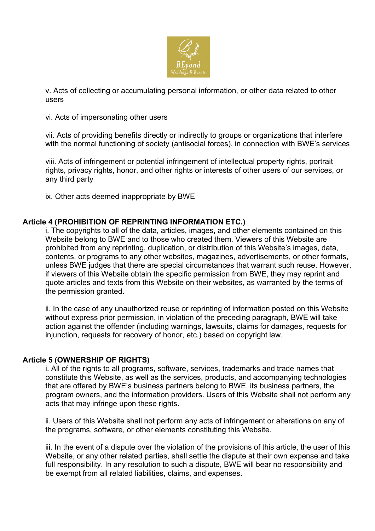

v. Acts of collecting or accumulating personal information, or other data related to other users

vi. Acts of impersonating other users

vii. Acts of providing benefits directly or indirectly to groups or organizations that interfere with the normal functioning of society (antisocial forces), in connection with BWE's services

viii. Acts of infringement or potential infringement of intellectual property rights, portrait rights, privacy rights, honor, and other rights or interests of other users of our services, or any third party

ix. Other acts deemed inappropriate by BWE

# **Article 4 (PROHIBITION OF REPRINTING INFORMATION ETC.)**

i. The copyrights to all of the data, articles, images, and other elements contained on this Website belong to BWE and to those who created them. Viewers of this Website are prohibited from any reprinting, duplication, or distribution of this Website's images, data, contents, or programs to any other websites, magazines, advertisements, or other formats, unless BWE judges that there are special circumstances that warrant such reuse. However, if viewers of this Website obtain the specific permission from BWE, they may reprint and quote articles and texts from this Website on their websites, as warranted by the terms of the permission granted.

ii. In the case of any unauthorized reuse or reprinting of information posted on this Website without express prior permission, in violation of the preceding paragraph, BWE will take action against the offender (including warnings, lawsuits, claims for damages, requests for injunction, requests for recovery of honor, etc.) based on copyright law.

## **Article 5 (OWNERSHIP OF RIGHTS)**

i. All of the rights to all programs, software, services, trademarks and trade names that constitute this Website, as well as the services, products, and accompanying technologies that are offered by BWE's business partners belong to BWE, its business partners, the program owners, and the information providers. Users of this Website shall not perform any acts that may infringe upon these rights.

ii. Users of this Website shall not perform any acts of infringement or alterations on any of the programs, software, or other elements constituting this Website.

iii. In the event of a dispute over the violation of the provisions of this article, the user of this Website, or any other related parties, shall settle the dispute at their own expense and take full responsibility. In any resolution to such a dispute, BWE will bear no responsibility and be exempt from all related liabilities, claims, and expenses.